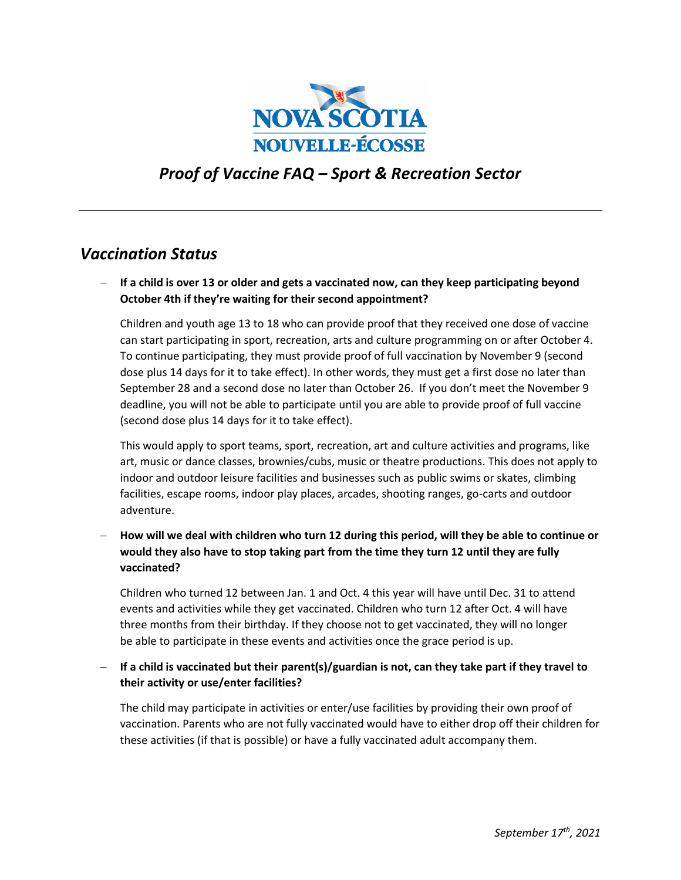

# *Proof of Vaccine FAQ – Sport & Recreation Sector*

## *Vaccination Status*

− **If a child is over 13 or older and gets a vaccinated now, can they keep participating beyond October 4th if they're waiting for their second appointment?**

Children and youth age 13 to 18 who can provide proof that they received one dose of vaccine can start participating in sport, recreation, arts and culture programming on or after October 4. To continue participating, they must provide proof of full vaccination by November 9 (second dose plus 14 days for it to take effect). In other words, they must get a first dose no later than September 28 and a second dose no later than October 26. If you don't meet the November 9 deadline, you will not be able to participate until you are able to provide proof of full vaccine (second dose plus 14 days for it to take effect).

This would apply to sport teams, sport, recreation, art and culture activities and programs, like art, music or dance classes, brownies/cubs, music or theatre productions. This does not apply to indoor and outdoor leisure facilities and businesses such as public swims or skates, climbing facilities, escape rooms, indoor play places, arcades, shooting ranges, go-carts and outdoor adventure.

− **How will we deal with children who turn 12 during this period, will they be able to continue or would they also have to stop taking part from the time they turn 12 until they are fully vaccinated?**

Children who turned 12 between Jan. 1 and Oct. 4 this year will have until Dec. 31 to attend events and activities while they get vaccinated. Children who turn 12 after Oct. 4 will have three months from their birthday. If they choose not to get vaccinated, they will no longer be able to participate in these events and activities once the grace period is up.

− **If a child is vaccinated but their parent(s)/guardian is not, can they take part if they travel to their activity or use/enter facilities?** 

The child may participate in activities or enter/use facilities by providing their own proof of vaccination. Parents who are not fully vaccinated would have to either drop off their children for these activities (if that is possible) or have a fully vaccinated adult accompany them.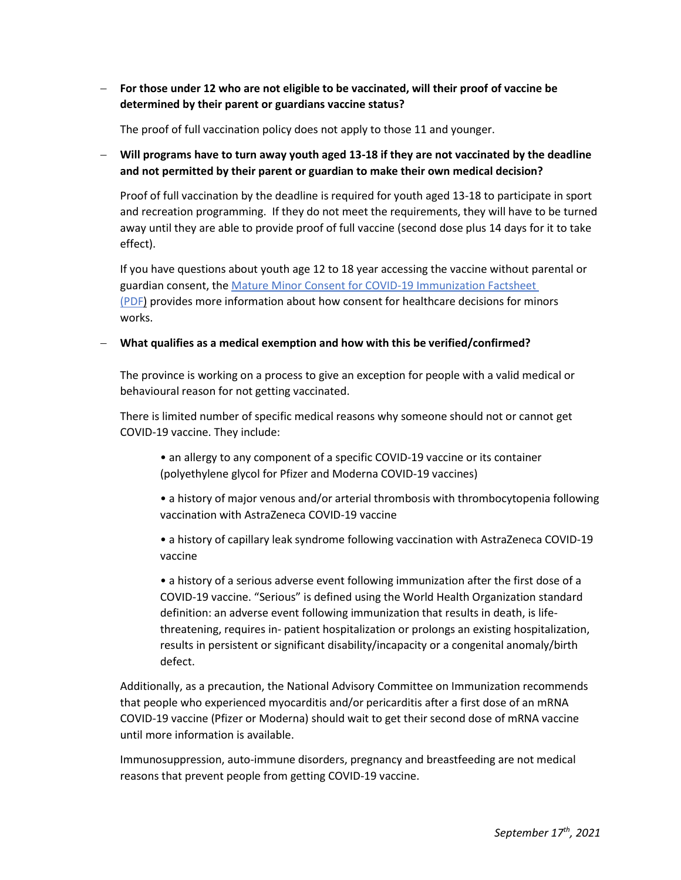− **For those under 12 who are not eligible to be vaccinated, will their proof of vaccine be determined by their parent or guardians vaccine status?**

The proof of full vaccination policy does not apply to those 11 and younger.

− **Will programs have to turn away youth aged 13-18 if they are not vaccinated by the deadline and not permitted by their parent or guardian to make their own medical decision?**

Proof of full vaccination by the deadline is required for youth aged 13-18 to participate in sport and recreation programming. If they do not meet the requirements, they will have to be turned away until they are able to provide proof of full vaccine (second dose plus 14 days for it to take effect).

If you have questions about youth age 12 to 18 year accessing the vaccine without parental or guardian consent, the [Mature Minor Consent for COVID-19 Immunization Factsheet](https://novascotia.ca/coronavirus/docs/mature-minor-consent-COVID-19-immunization-factsheet.pdf)  (PDF) provides more information about how consent for healthcare decisions for minors works.

#### − **What qualifies as a medical exemption and how with this be verified/confirmed?**

The province is working on a process to give an exception for people with a valid medical or behavioural reason for not getting vaccinated.

There is limited number of specific medical reasons why someone should not or cannot get COVID-19 vaccine. They include:

- an allergy to any component of a specific COVID-19 vaccine or its container (polyethylene glycol for Pfizer and Moderna COVID-19 vaccines)
- a history of major venous and/or arterial thrombosis with thrombocytopenia following vaccination with AstraZeneca COVID-19 vaccine

• a history of capillary leak syndrome following vaccination with AstraZeneca COVID-19 vaccine

• a history of a serious adverse event following immunization after the first dose of a COVID-19 vaccine. "Serious" is defined using the World Health Organization standard definition: an adverse event following immunization that results in death, is lifethreatening, requires in- patient hospitalization or prolongs an existing hospitalization, results in persistent or significant disability/incapacity or a congenital anomaly/birth defect.

Additionally, as a precaution, the National Advisory Committee on Immunization recommends that people who experienced myocarditis and/or pericarditis after a first dose of an mRNA COVID-19 vaccine (Pfizer or Moderna) should wait to get their second dose of mRNA vaccine until more information is available.

Immunosuppression, auto-immune disorders, pregnancy and breastfeeding are not medical reasons that prevent people from getting COVID-19 vaccine.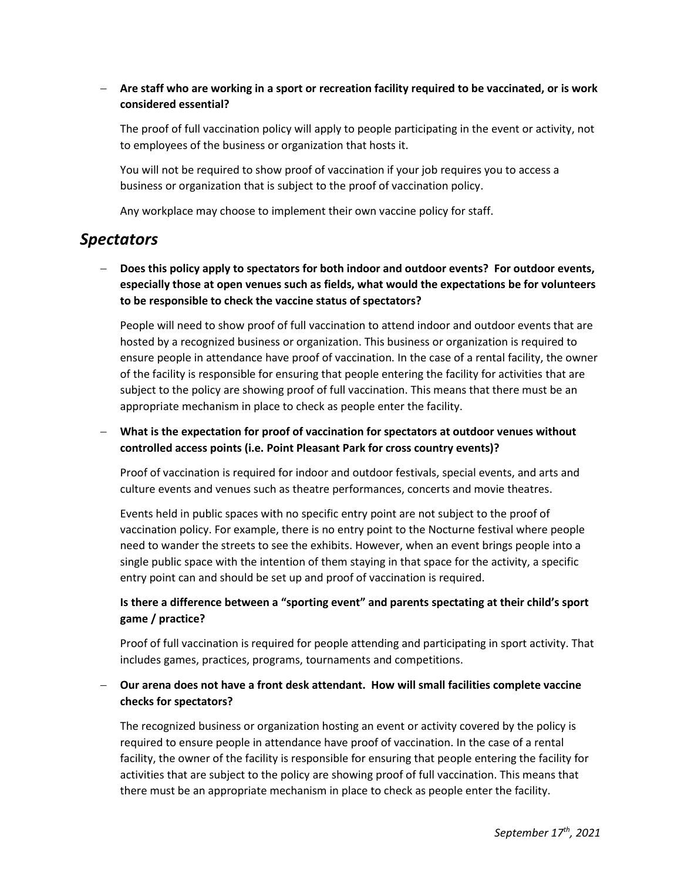### − **Are staff who are working in a sport or recreation facility required to be vaccinated, or is work considered essential?**

The proof of full vaccination policy will apply to people participating in the event or activity, not to employees of the business or organization that hosts it.

You will not be required to show proof of vaccination if your job requires you to access a business or organization that is subject to the proof of vaccination policy.

Any workplace may choose to implement their own vaccine policy for staff.

## *Spectators*

− **Does this policy apply to spectators for both indoor and outdoor events? For outdoor events, especially those at open venues such as fields, what would the expectations be for volunteers to be responsible to check the vaccine status of spectators?**

People will need to show proof of full vaccination to attend indoor and outdoor events that are hosted by a recognized business or organization. This business or organization is required to ensure people in attendance have proof of vaccination. In the case of a rental facility, the owner of the facility is responsible for ensuring that people entering the facility for activities that are subject to the policy are showing proof of full vaccination. This means that there must be an appropriate mechanism in place to check as people enter the facility.

− **What is the expectation for proof of vaccination for spectators at outdoor venues without controlled access points (i.e. Point Pleasant Park for cross country events)?**

Proof of vaccination is required for indoor and outdoor festivals, special events, and arts and culture events and venues such as theatre performances, concerts and movie theatres.

Events held in public spaces with no specific entry point are not subject to the proof of vaccination policy. For example, there is no entry point to the Nocturne festival where people need to wander the streets to see the exhibits. However, when an event brings people into a single public space with the intention of them staying in that space for the activity, a specific entry point can and should be set up and proof of vaccination is required.

## **Is there a difference between a "sporting event" and parents spectating at their child's sport game / practice?**

Proof of full vaccination is required for people attending and participating in sport activity. That includes games, practices, programs, tournaments and competitions.

### − **Our arena does not have a front desk attendant. How will small facilities complete vaccine checks for spectators?**

The recognized business or organization hosting an event or activity covered by the policy is required to ensure people in attendance have proof of vaccination. In the case of a rental facility, the owner of the facility is responsible for ensuring that people entering the facility for activities that are subject to the policy are showing proof of full vaccination. This means that there must be an appropriate mechanism in place to check as people enter the facility.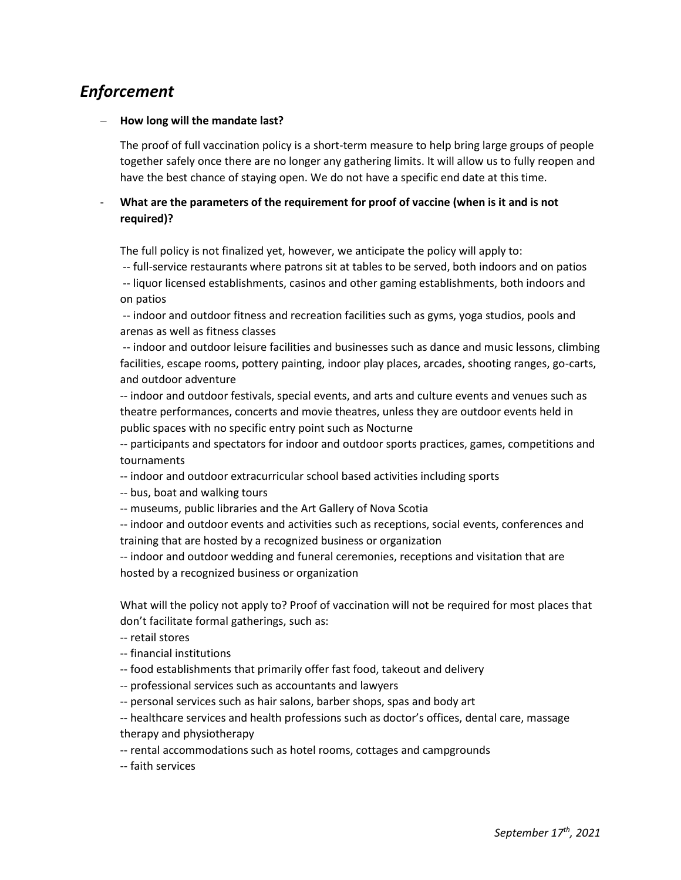# *Enforcement*

#### − **How long will the mandate last?**

The proof of full vaccination policy is a short-term measure to help bring large groups of people together safely once there are no longer any gathering limits. It will allow us to fully reopen and have the best chance of staying open. We do not have a specific end date at this time.

## What are the parameters of the requirement for proof of vaccine (when is it and is not **required)?**

The full policy is not finalized yet, however, we anticipate the policy will apply to:

-- full-service restaurants where patrons sit at tables to be served, both indoors and on patios

-- liquor licensed establishments, casinos and other gaming establishments, both indoors and on patios

-- indoor and outdoor fitness and recreation facilities such as gyms, yoga studios, pools and arenas as well as fitness classes

-- indoor and outdoor leisure facilities and businesses such as dance and music lessons, climbing facilities, escape rooms, pottery painting, indoor play places, arcades, shooting ranges, go-carts, and outdoor adventure

-- indoor and outdoor festivals, special events, and arts and culture events and venues such as theatre performances, concerts and movie theatres, unless they are outdoor events held in public spaces with no specific entry point such as Nocturne

-- participants and spectators for indoor and outdoor sports practices, games, competitions and tournaments

-- indoor and outdoor extracurricular school based activities including sports

-- bus, boat and walking tours

-- museums, public libraries and the Art Gallery of Nova Scotia

-- indoor and outdoor events and activities such as receptions, social events, conferences and training that are hosted by a recognized business or organization

-- indoor and outdoor wedding and funeral ceremonies, receptions and visitation that are hosted by a recognized business or organization

What will the policy not apply to? Proof of vaccination will not be required for most places that don't facilitate formal gatherings, such as:

- -- retail stores
- -- financial institutions
- -- food establishments that primarily offer fast food, takeout and delivery
- -- professional services such as accountants and lawyers
- -- personal services such as hair salons, barber shops, spas and body art
- -- healthcare services and health professions such as doctor's offices, dental care, massage therapy and physiotherapy
- -- rental accommodations such as hotel rooms, cottages and campgrounds
- -- faith services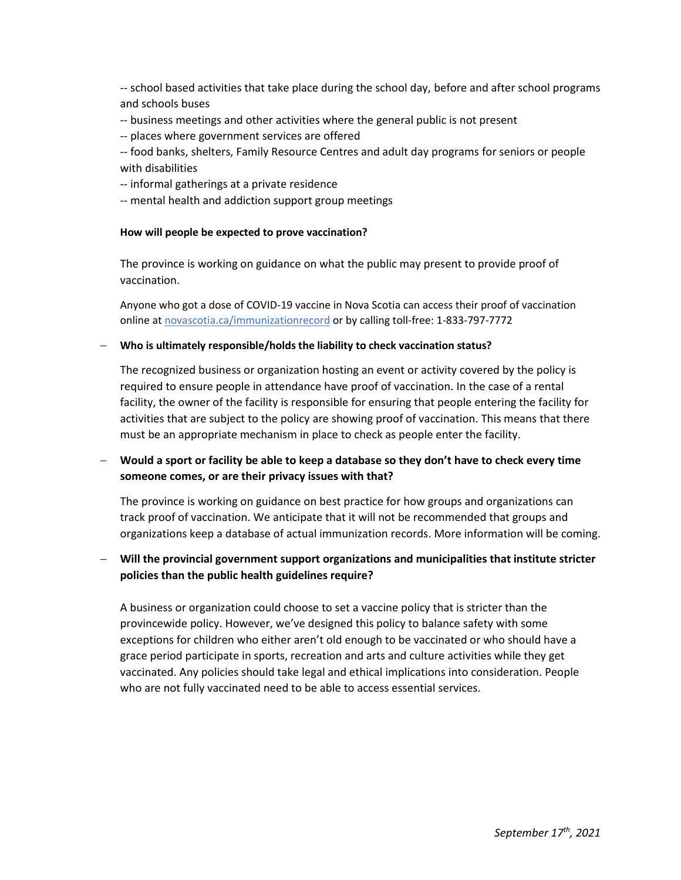-- school based activities that take place during the school day, before and after school programs and schools buses

- -- business meetings and other activities where the general public is not present
- -- places where government services are offered

-- food banks, shelters, Family Resource Centres and adult day programs for seniors or people with disabilities

- -- informal gatherings at a private residence
- -- mental health and addiction support group meetings

#### **How will people be expected to prove vaccination?**

The province is working on guidance on what the public may present to provide proof of vaccination.

Anyone who got a dose of COVID-19 vaccine in Nova Scotia can access their proof of vaccination online at novascotia.ca/immunizationrecord or by calling toll-free: 1-833-797-7772

#### − **Who is ultimately responsible/holds the liability to check vaccination status?**

The recognized business or organization hosting an event or activity covered by the policy is required to ensure people in attendance have proof of vaccination. In the case of a rental facility, the owner of the facility is responsible for ensuring that people entering the facility for activities that are subject to the policy are showing proof of vaccination. This means that there must be an appropriate mechanism in place to check as people enter the facility.

### − **Would a sport or facility be able to keep a database so they don't have to check every time someone comes, or are their privacy issues with that?**

The province is working on guidance on best practice for how groups and organizations can track proof of vaccination. We anticipate that it will not be recommended that groups and organizations keep a database of actual immunization records. More information will be coming.

### − **Will the provincial government support organizations and municipalities that institute stricter policies than the public health guidelines require?**

A business or organization could choose to set a vaccine policy that is stricter than the provincewide policy. However, we've designed this policy to balance safety with some exceptions for children who either aren't old enough to be vaccinated or who should have a grace period participate in sports, recreation and arts and culture activities while they get vaccinated. Any policies should take legal and ethical implications into consideration. People who are not fully vaccinated need to be able to access essential services.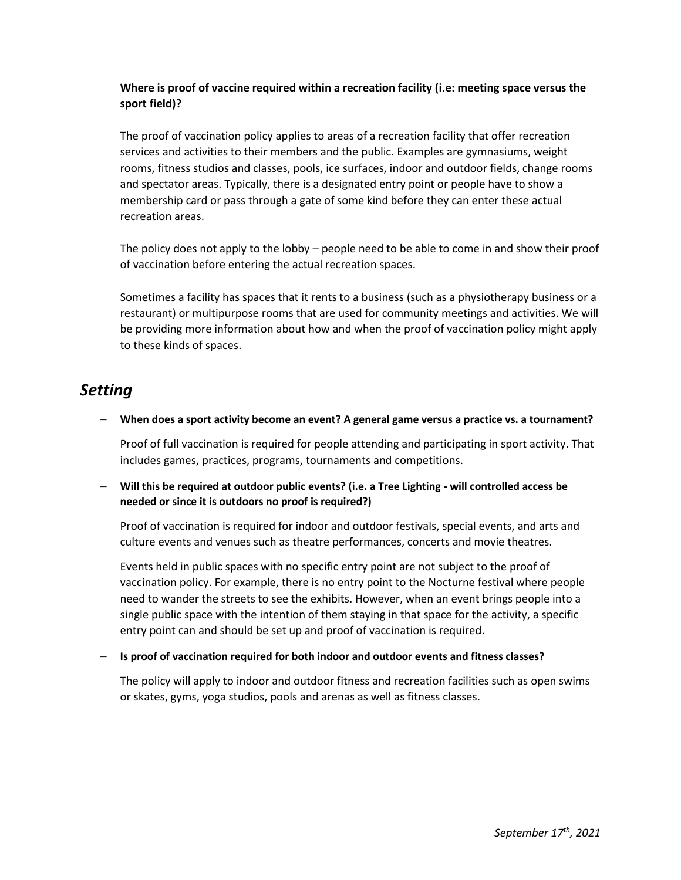## **Where is proof of vaccine required within a recreation facility (i.e: meeting space versus the sport field)?**

The proof of vaccination policy applies to areas of a recreation facility that offer recreation services and activities to their members and the public. Examples are gymnasiums, weight rooms, fitness studios and classes, pools, ice surfaces, indoor and outdoor fields, change rooms and spectator areas. Typically, there is a designated entry point or people have to show a membership card or pass through a gate of some kind before they can enter these actual recreation areas.

The policy does not apply to the lobby – people need to be able to come in and show their proof of vaccination before entering the actual recreation spaces.

Sometimes a facility has spaces that it rents to a business (such as a physiotherapy business or a restaurant) or multipurpose rooms that are used for community meetings and activities. We will be providing more information about how and when the proof of vaccination policy might apply to these kinds of spaces.

# *Setting*

#### − **When does a sport activity become an event? A general game versus a practice vs. a tournament?**

Proof of full vaccination is required for people attending and participating in sport activity. That includes games, practices, programs, tournaments and competitions.

### − **Will this be required at outdoor public events? (i.e. a Tree Lighting - will controlled access be needed or since it is outdoors no proof is required?)**

Proof of vaccination is required for indoor and outdoor festivals, special events, and arts and culture events and venues such as theatre performances, concerts and movie theatres.

Events held in public spaces with no specific entry point are not subject to the proof of vaccination policy. For example, there is no entry point to the Nocturne festival where people need to wander the streets to see the exhibits. However, when an event brings people into a single public space with the intention of them staying in that space for the activity, a specific entry point can and should be set up and proof of vaccination is required.

#### − **Is proof of vaccination required for both indoor and outdoor events and fitness classes?**

The policy will apply to indoor and outdoor fitness and recreation facilities such as open swims or skates, gyms, yoga studios, pools and arenas as well as fitness classes.